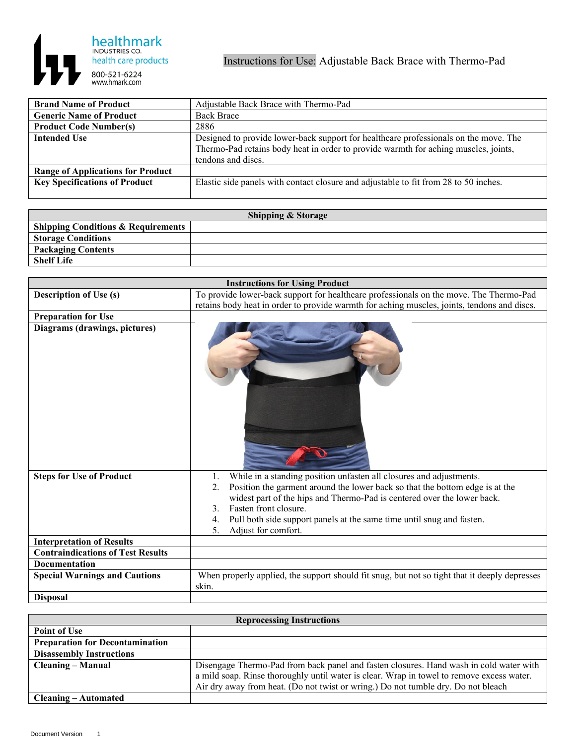

| <b>Brand Name of Product</b>             | Adjustable Back Brace with Thermo-Pad                                                |
|------------------------------------------|--------------------------------------------------------------------------------------|
| <b>Generic Name of Product</b>           | <b>Back Brace</b>                                                                    |
| <b>Product Code Number(s)</b>            | 2886                                                                                 |
| <b>Intended Use</b>                      | Designed to provide lower-back support for healthcare professionals on the move. The |
|                                          | Thermo-Pad retains body heat in order to provide warmth for aching muscles, joints,  |
|                                          | tendons and discs.                                                                   |
| <b>Range of Applications for Product</b> |                                                                                      |
| <b>Key Specifications of Product</b>     | Elastic side panels with contact closure and adjustable to fit from 28 to 50 inches. |
|                                          |                                                                                      |

| <b>Shipping &amp; Storage</b>                 |  |  |
|-----------------------------------------------|--|--|
| <b>Shipping Conditions &amp; Requirements</b> |  |  |
| <b>Storage Conditions</b>                     |  |  |
| <b>Packaging Contents</b>                     |  |  |
| <b>Shelf Life</b>                             |  |  |

|                                          | <b>Instructions for Using Product</b>                                                              |
|------------------------------------------|----------------------------------------------------------------------------------------------------|
| <b>Description of Use (s)</b>            | To provide lower-back support for healthcare professionals on the move. The Thermo-Pad             |
|                                          | retains body heat in order to provide warmth for aching muscles, joints, tendons and discs.        |
| <b>Preparation for Use</b>               |                                                                                                    |
| Diagrams (drawings, pictures)            |                                                                                                    |
| <b>Steps for Use of Product</b>          | While in a standing position unfasten all closures and adjustments.<br>1.                          |
|                                          | Position the garment around the lower back so that the bottom edge is at the<br>2.                 |
|                                          | widest part of the hips and Thermo-Pad is centered over the lower back.                            |
|                                          | Fasten front closure.<br>$\mathcal{E}$<br>4.                                                       |
|                                          | Pull both side support panels at the same time until snug and fasten.<br>Adjust for comfort.<br>5. |
| <b>Interpretation of Results</b>         |                                                                                                    |
| <b>Contraindications of Test Results</b> |                                                                                                    |
| <b>Documentation</b>                     |                                                                                                    |
| <b>Special Warnings and Cautions</b>     | When properly applied, the support should fit snug, but not so tight that it deeply depresses      |
|                                          | skin.                                                                                              |
| <b>Disposal</b>                          |                                                                                                    |

| <b>Reprocessing Instructions</b>       |                                                                                           |  |
|----------------------------------------|-------------------------------------------------------------------------------------------|--|
| <b>Point of Use</b>                    |                                                                                           |  |
| <b>Preparation for Decontamination</b> |                                                                                           |  |
| <b>Disassembly Instructions</b>        |                                                                                           |  |
| Cleaning – Manual                      | Disengage Thermo-Pad from back panel and fasten closures. Hand wash in cold water with    |  |
|                                        | a mild soap. Rinse thoroughly until water is clear. Wrap in towel to remove excess water. |  |
|                                        | Air dry away from heat. (Do not twist or wring.) Do not tumble dry. Do not bleach         |  |
| <b>Cleaning – Automated</b>            |                                                                                           |  |